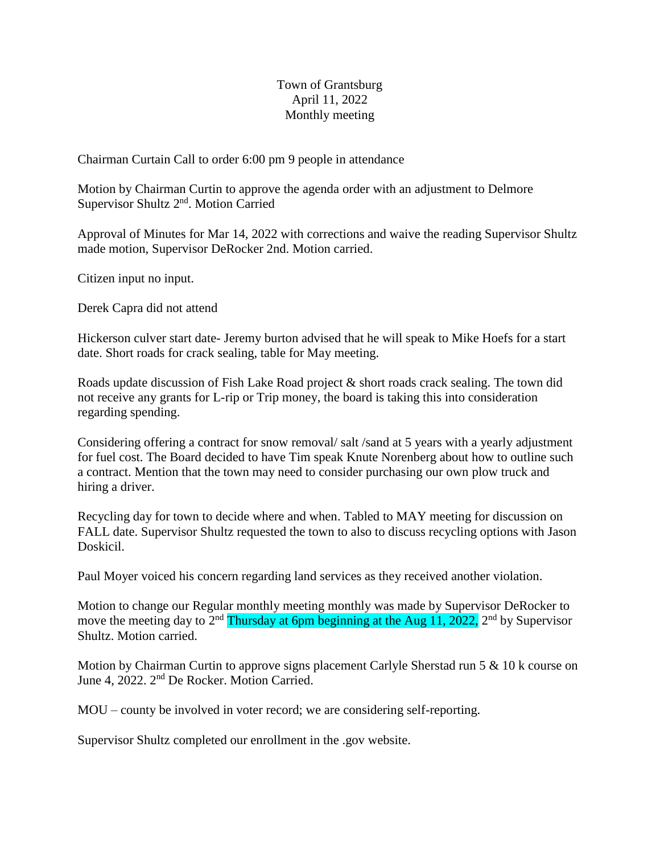## Town of Grantsburg April 11, 2022 Monthly meeting

Chairman Curtain Call to order 6:00 pm 9 people in attendance

Motion by Chairman Curtin to approve the agenda order with an adjustment to Delmore Supervisor Shultz 2<sup>nd</sup>. Motion Carried

Approval of Minutes for Mar 14, 2022 with corrections and waive the reading Supervisor Shultz made motion, Supervisor DeRocker 2nd. Motion carried.

Citizen input no input.

Derek Capra did not attend

Hickerson culver start date- Jeremy burton advised that he will speak to Mike Hoefs for a start date. Short roads for crack sealing, table for May meeting.

Roads update discussion of Fish Lake Road project & short roads crack sealing. The town did not receive any grants for L-rip or Trip money, the board is taking this into consideration regarding spending.

Considering offering a contract for snow removal/ salt /sand at 5 years with a yearly adjustment for fuel cost. The Board decided to have Tim speak Knute Norenberg about how to outline such a contract. Mention that the town may need to consider purchasing our own plow truck and hiring a driver.

Recycling day for town to decide where and when. Tabled to MAY meeting for discussion on FALL date. Supervisor Shultz requested the town to also to discuss recycling options with Jason Doskicil.

Paul Moyer voiced his concern regarding land services as they received another violation.

Motion to change our Regular monthly meeting monthly was made by Supervisor DeRocker to move the meeting day to 2<sup>nd</sup> Thursday at 6pm beginning at the Aug 11, 2022, 2<sup>nd</sup> by Supervisor Shultz. Motion carried.

Motion by Chairman Curtin to approve signs placement Carlyle Sherstad run 5 & 10 k course on June 4, 2022. 2nd De Rocker. Motion Carried.

MOU – county be involved in voter record; we are considering self-reporting.

Supervisor Shultz completed our enrollment in the .gov website.